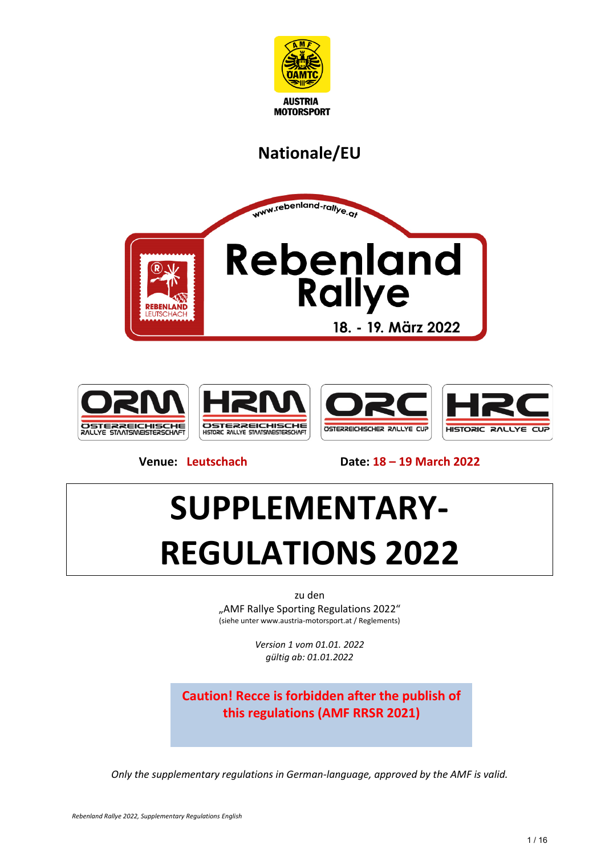

# **Nationale/EU**





**Venue: Leutschach Date: 18 – 19 March 2022**

# **SUPPLEMENTARY-REGULATIONS 2022**

zu den "AMF Rallye Sporting Regulations 2022" (siehe unter www.austria-motorsport.at / Reglements)

> *Version 1 vom 01.01. 2022 gültig ab: 01.01.2022*

**Caution! Recce is forbidden after the publish of this regulations (AMF RRSR 2021)**

*Only the supplementary regulations in German-language, approved by the AMF is valid.*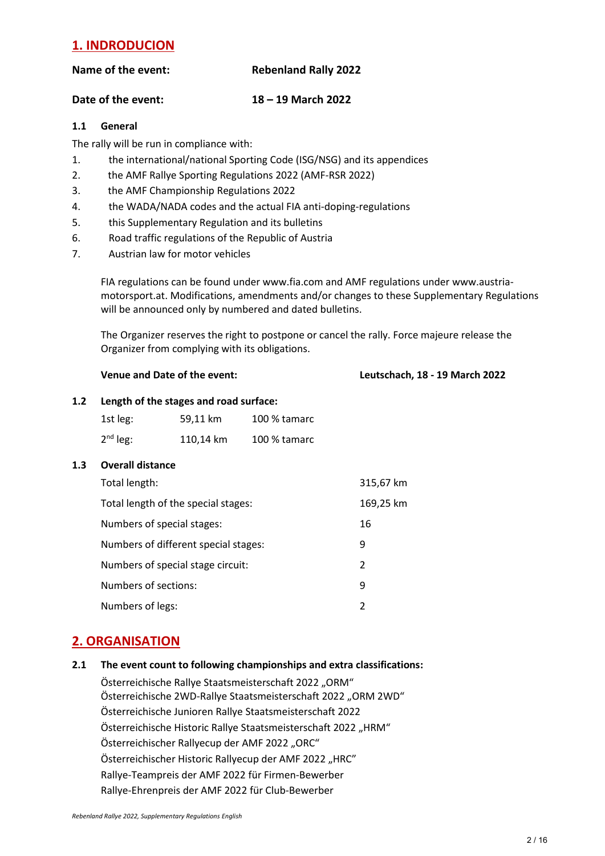# **1. INDRODUCION**

#### **Name of the event: Rebenland Rally 2022**

#### **Date of the event: 18 – 19 March 2022**

#### **1.1 General**

The rally will be run in compliance with:

- 1. the international/national Sporting Code (ISG/NSG) and its appendices
- 2. the AMF Rallye Sporting Regulations 2022 (AMF-RSR 2022)
- 3. the AMF Championship Regulations 2022
- 4. the WADA/NADA codes and the actual FIA anti-doping-regulations
- 5. this Supplementary Regulation and its bulletins
- 6. Road traffic regulations of the Republic of Austria
- 7. Austrian law for motor vehicles

FIA regulations can be found under www.fia.com and AMF regulations under [www.austria](http://www.austria-motorsport.at/)[motorsport.at.](http://www.austria-motorsport.at/) Modifications, amendments and/or changes to these Supplementary Regulations will be announced only by numbered and dated bulletins.

The Organizer reserves the right to postpone or cancel the rally. Force majeure release the Organizer from complying with its obligations.

#### **Venue and Date of the event: Leutschach, 18 - 19 March 2022**

#### **1.2 Length of the stages and road surface:**

| 1st leg:   | 59,11 km  | 100 % tamarc |
|------------|-----------|--------------|
| $2nd$ leg: | 110,14 km | 100 % tamarc |

#### **1.3 Overall distance**

| Total length:                        | 315,67 km |
|--------------------------------------|-----------|
| Total length of the special stages:  | 169,25 km |
| Numbers of special stages:           | 16        |
| Numbers of different special stages: | 9         |
| Numbers of special stage circuit:    | 2         |
| Numbers of sections:                 | 9         |
| Numbers of legs:                     | 2         |

### **2. ORGANISATION**

**2.1 The event count to following championships and extra classifications:** 

Österreichische Rallye Staatsmeisterschaft 2022 "ORM" Österreichische 2WD-Rallye Staatsmeisterschaft 2022 "ORM 2WD" Österreichische Junioren Rallye Staatsmeisterschaft 2022 Österreichische Historic Rallye Staatsmeisterschaft 2022 "HRM" Österreichischer Rallyecup der AMF 2022 "ORC" Österreichischer Historic Rallyecup der AMF 2022 "HRC" Rallye-Teampreis der AMF 2022 für Firmen-Bewerber Rallye-Ehrenpreis der AMF 2022 für Club-Bewerber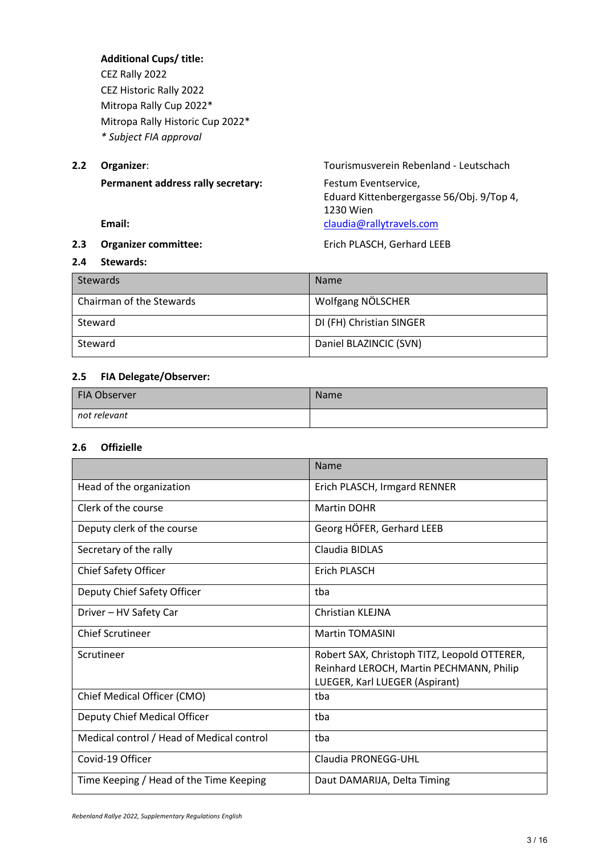**Additional Cups/ title:** CEZ Rally 2022 CEZ Historic Rally 2022 Mitropa Rally Cup 2022\* Mitropa Rally Historic Cup 2022\* *\* Subject FIA approval*

**2.2 Organizer**: Tourismusverein Rebenland - Leutschach **Permanent address rally secretary:** Festum Eventservice, Eduard Kittenbergergasse 56/Obj. 9/Top 4, 1230 Wien **Email: Email: [claudia@rallytravels.com](mailto:claudia@rallytravels.com)** 

#### **2.3 Organizer committee: Example 2.3 Department COVE COVER**

**2.4 Stewards:** 

| <b>Stewards</b>          | <b>Name</b>              |
|--------------------------|--------------------------|
| Chairman of the Stewards | Wolfgang NÖLSCHER        |
| Steward                  | DI (FH) Christian SINGER |
| Steward                  | Daniel BLAZINCIC (SVN)   |

#### **2.5 FIA Delegate/Observer:**

| FIA Observer | Name |
|--------------|------|
| not relevant |      |

#### **2.6 Offizielle**

|                                           | Name                                         |
|-------------------------------------------|----------------------------------------------|
| Head of the organization                  | Erich PLASCH, Irmgard RENNER                 |
| Clerk of the course                       | <b>Martin DOHR</b>                           |
| Deputy clerk of the course                | Georg HÖFER, Gerhard LEEB                    |
| Secretary of the rally                    | Claudia BIDLAS                               |
| <b>Chief Safety Officer</b>               | Erich PLASCH                                 |
| Deputy Chief Safety Officer               | tba                                          |
| Driver - HV Safety Car                    | Christian KLEJNA                             |
| <b>Chief Scrutineer</b>                   | <b>Martin TOMASINI</b>                       |
| Scrutineer                                | Robert SAX, Christoph TITZ, Leopold OTTERER, |
|                                           | Reinhard LEROCH, Martin PECHMANN, Philip     |
|                                           | LUEGER, Karl LUEGER (Aspirant)               |
| Chief Medical Officer (CMO)               | tba                                          |
| Deputy Chief Medical Officer              | tba                                          |
| Medical control / Head of Medical control | tba                                          |
| Covid-19 Officer                          | Claudia PRONEGG-UHL                          |
| Time Keeping / Head of the Time Keeping   | Daut DAMARIJA, Delta Timing                  |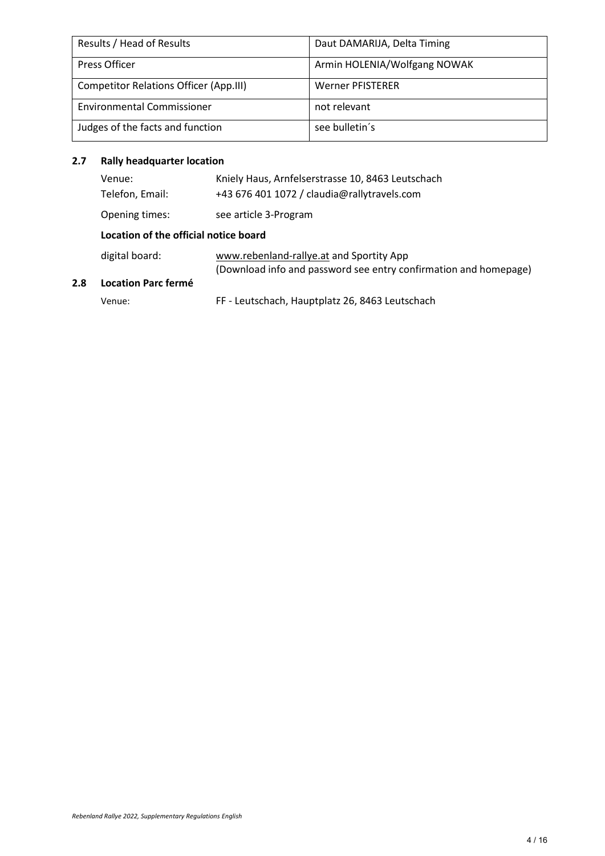| Results / Head of Results                     | Daut DAMARIJA, Delta Timing  |
|-----------------------------------------------|------------------------------|
| <b>Press Officer</b>                          | Armin HOLENIA/Wolfgang NOWAK |
| <b>Competitor Relations Officer (App.III)</b> | <b>Werner PFISTERER</b>      |
| <b>Environmental Commissioner</b>             | not relevant                 |
| Judges of the facts and function              | see bulletin's               |

# **2.7 Rally headquarter location**

**2.8 Location Parc fermé**

| Venue:<br>Telefon, Email:             | Kniely Haus, Arnfelserstrasse 10, 8463 Leutschach<br>+43 676 401 1072 / claudia@rallytravels.com             |  |
|---------------------------------------|--------------------------------------------------------------------------------------------------------------|--|
| Opening times:                        | see article 3-Program                                                                                        |  |
| Location of the official notice board |                                                                                                              |  |
| digital board:                        | www.rebenland-rallye.at and Sportity App<br>(Download info and password see entry confirmation and homepage) |  |
| Location Parc fermé                   |                                                                                                              |  |
| Venue:                                | FF - Leutschach, Hauptplatz 26, 8463 Leutschach                                                              |  |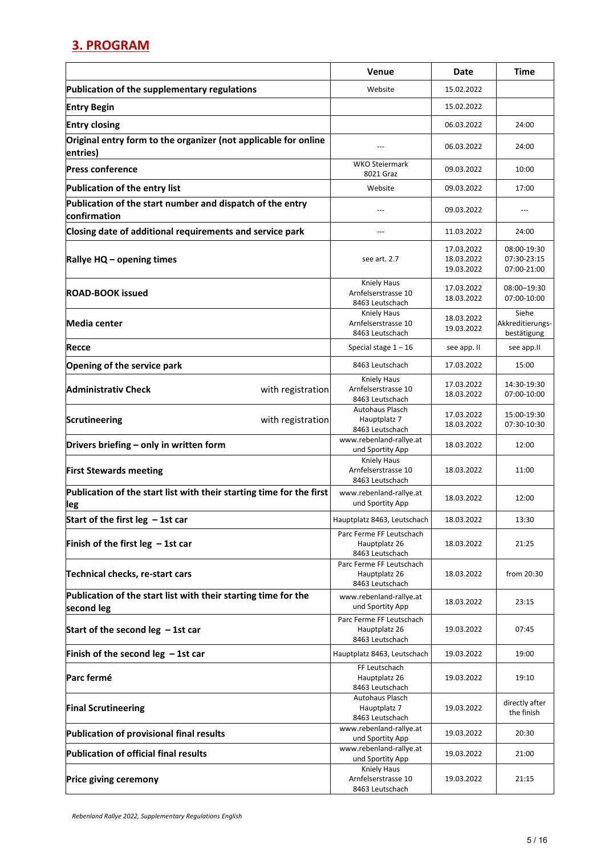# **3. PROGRAM**

|                                                                              | Venue                                                        | Date                                   | <b>Time</b>                               |
|------------------------------------------------------------------------------|--------------------------------------------------------------|----------------------------------------|-------------------------------------------|
| Publication of the supplementary regulations                                 | Website                                                      | 15.02.2022                             |                                           |
| <b>Entry Begin</b>                                                           |                                                              | 15.02.2022                             |                                           |
| <b>Entry closing</b>                                                         |                                                              | 06.03.2022                             | 24:00                                     |
| Original entry form to the organizer (not applicable for online<br>entries)  |                                                              | 06.03.2022                             | 24:00                                     |
| <b>Press conference</b>                                                      | WKO Steiermark<br>8021 Graz                                  | 09.03.2022                             | 10:00                                     |
| Publication of the entry list                                                | Website                                                      | 09.03.2022                             | 17:00                                     |
| Publication of the start number and dispatch of the entry<br>lconfirmation   | ---                                                          | 09.03.2022                             |                                           |
| Closing date of additional requirements and service park                     | ---                                                          | 11.03.2022                             | 24:00                                     |
| Rallye HQ - opening times                                                    | see art. 2.7                                                 | 17.03.2022<br>18.03.2022<br>19.03.2022 | 08:00-19:30<br>07:30-23:15<br>07:00-21:00 |
| <b>ROAD-BOOK issued</b>                                                      | <b>Kniely Haus</b><br>Arnfelserstrasse 10<br>8463 Leutschach | 17.03.2022<br>18.03.2022               | 08:00-19:30<br>07:00-10:00                |
| <b>Media center</b>                                                          | <b>Kniely Haus</b><br>Arnfelserstrasse 10<br>8463 Leutschach | 18.03.2022<br>19.03.2022               | Siehe<br>Akkreditierungs-<br>bestätigung  |
| Recce                                                                        | Special stage $1 - 16$                                       | see app. II                            | see app.II                                |
| Opening of the service park                                                  | 8463 Leutschach                                              | 17.03.2022                             | 15:00                                     |
| <b>Administrativ Check</b><br>with registration                              | <b>Kniely Haus</b><br>Arnfelserstrasse 10<br>8463 Leutschach | 17.03.2022<br>18.03.2022               | 14:30-19:30<br>07:00-10:00                |
| <b>Scrutineering</b><br>with registration                                    | <b>Autohaus Plasch</b><br>Hauptplatz 7<br>8463 Leutschach    | 17.03.2022<br>18.03.2022               | 15:00-19:30<br>07:30-10:30                |
| Drivers briefing - only in written form                                      | www.rebenland-rallye.at<br>und Sportity App                  | 18.03.2022                             | 12:00                                     |
| <b>First Stewards meeting</b>                                                | Kniely Haus<br>Arnfelserstrasse 10<br>8463 Leutschach        | 18.03.2022                             | 11:00                                     |
| Publication of the start list with their starting time for the first<br>leg  | www.rebenland-rallye.at<br>und Sportity App                  | 18.03.2022                             | 12:00                                     |
| Start of the first leg $-1$ st car                                           | Hauptplatz 8463, Leutschach                                  | 18.03.2022                             | 13:30                                     |
| Finish of the first leg $-1$ st car                                          | Parc Ferme FF Leutschach<br>Hauptplatz 26<br>8463 Leutschach | 18.03.2022                             | 21:25                                     |
| Technical checks, re-start cars                                              | Parc Ferme FF Leutschach<br>Hauptplatz 26<br>8463 Leutschach | 18.03.2022                             | from 20:30                                |
| Publication of the start list with their starting time for the<br>second leg | www.rebenland-rallye.at<br>und Sportity App                  | 18.03.2022                             | 23:15                                     |
| Start of the second leg $-1st$ car                                           | Parc Ferme FF Leutschach<br>Hauptplatz 26<br>8463 Leutschach | 19.03.2022                             | 07:45                                     |
| Finish of the second leg $-1$ st car                                         | Hauptplatz 8463, Leutschach                                  | 19.03.2022                             | 19:00                                     |
| Parc fermé                                                                   | FF Leutschach<br>Hauptplatz 26<br>8463 Leutschach            | 19.03.2022                             | 19:10                                     |
| <b>Final Scrutineering</b>                                                   | <b>Autohaus Plasch</b><br>Hauptplatz 7<br>8463 Leutschach    | 19.03.2022                             | directly after<br>the finish              |
| Publication of provisional final results                                     | www.rebenland-rallye.at<br>und Sportity App                  | 19.03.2022                             | 20:30                                     |
| Publication of official final results                                        | www.rebenland-rallye.at<br>und Sportity App                  | 19.03.2022                             | 21:00                                     |
| Price giving ceremony                                                        | Kniely Haus<br>Arnfelserstrasse 10<br>8463 Leutschach        | 19.03.2022                             | 21:15                                     |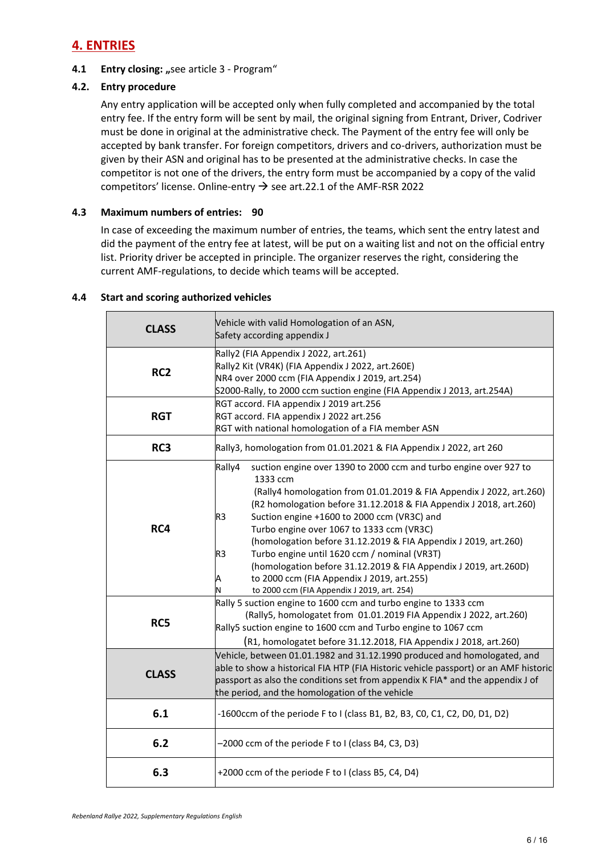# **4. ENTRIES**

#### **4.1 Entry closing:** "see article 3 - Program"

#### **4.2. Entry procedure**

Any entry application will be accepted only when fully completed and accompanied by the total entry fee. If the entry form will be sent by mail, the original signing from Entrant, Driver, Codriver must be done in original at the administrative check. The Payment of the entry fee will only be accepted by bank transfer. For foreign competitors, drivers and co-drivers, authorization must be given by their ASN and original has to be presented at the administrative checks. In case the competitor is not one of the drivers, the entry form must be accompanied by a copy of the valid competitors' license. Online-entry  $\rightarrow$  see art.22.1 of the AMF-RSR 2022

#### **4.3 Maximum numbers of entries: 90**

In case of exceeding the maximum number of entries, the teams, which sent the entry latest and did the payment of the entry fee at latest, will be put on a waiting list and not on the official entry list. Priority driver be accepted in principle. The organizer reserves the right, considering the current AMF-regulations, to decide which teams will be accepted.

| <b>CLASS</b>    | Vehicle with valid Homologation of an ASN,<br>Safety according appendix J                                                                                                                                                                                                                                                                                                                                                                                                                                                                                                                                                                                                                                                                                                                                                                                                                                                                      |
|-----------------|------------------------------------------------------------------------------------------------------------------------------------------------------------------------------------------------------------------------------------------------------------------------------------------------------------------------------------------------------------------------------------------------------------------------------------------------------------------------------------------------------------------------------------------------------------------------------------------------------------------------------------------------------------------------------------------------------------------------------------------------------------------------------------------------------------------------------------------------------------------------------------------------------------------------------------------------|
| RC <sub>2</sub> | Rally2 (FIA Appendix J 2022, art.261)<br>Rally2 Kit (VR4K) (FIA Appendix J 2022, art.260E)<br>NR4 over 2000 ccm (FIA Appendix J 2019, art.254)<br>S2000-Rally, to 2000 ccm suction engine (FIA Appendix J 2013, art.254A)                                                                                                                                                                                                                                                                                                                                                                                                                                                                                                                                                                                                                                                                                                                      |
| <b>RGT</b>      | RGT accord. FIA appendix J 2019 art.256<br>RGT accord. FIA appendix J 2022 art.256<br>RGT with national homologation of a FIA member ASN                                                                                                                                                                                                                                                                                                                                                                                                                                                                                                                                                                                                                                                                                                                                                                                                       |
| RC3             | Rally3, homologation from 01.01.2021 & FIA Appendix J 2022, art 260                                                                                                                                                                                                                                                                                                                                                                                                                                                                                                                                                                                                                                                                                                                                                                                                                                                                            |
| RC4<br>RC5      | Rally4<br>suction engine over 1390 to 2000 ccm and turbo engine over 927 to<br>1333 ccm<br>(Rally4 homologation from 01.01.2019 & FIA Appendix J 2022, art.260)<br>(R2 homologation before 31.12.2018 & FIA Appendix J 2018, art.260)<br>R <sub>3</sub><br>Suction engine +1600 to 2000 ccm (VR3C) and<br>Turbo engine over 1067 to 1333 ccm (VR3C)<br>(homologation before 31.12.2019 & FIA Appendix J 2019, art.260)<br>Turbo engine until 1620 ccm / nominal (VR3T)<br>R <sub>3</sub><br>(homologation before 31.12.2019 & FIA Appendix J 2019, art.260D)<br>to 2000 ccm (FIA Appendix J 2019, art.255)<br>А<br>to 2000 ccm (FIA Appendix J 2019, art. 254)<br>Rally 5 suction engine to 1600 ccm and turbo engine to 1333 ccm<br>(Rally5, homologatet from 01.01.2019 FIA Appendix J 2022, art.260)<br>Rally5 suction engine to 1600 ccm and Turbo engine to 1067 ccm<br>(R1, homologatet before 31.12.2018, FIA Appendix J 2018, art.260) |
| <b>CLASS</b>    | Vehicle, between 01.01.1982 and 31.12.1990 produced and homologated, and<br>able to show a historical FIA HTP (FIA Historic vehicle passport) or an AMF historic<br>passport as also the conditions set from appendix K FIA* and the appendix J of<br>the period, and the homologation of the vehicle                                                                                                                                                                                                                                                                                                                                                                                                                                                                                                                                                                                                                                          |
| 6.1             | -1600ccm of the periode F to I (class B1, B2, B3, C0, C1, C2, D0, D1, D2)                                                                                                                                                                                                                                                                                                                                                                                                                                                                                                                                                                                                                                                                                                                                                                                                                                                                      |
| 6.2             | -2000 ccm of the periode F to I (class B4, C3, D3)                                                                                                                                                                                                                                                                                                                                                                                                                                                                                                                                                                                                                                                                                                                                                                                                                                                                                             |
| 6.3             | +2000 ccm of the periode F to I (class B5, C4, D4)                                                                                                                                                                                                                                                                                                                                                                                                                                                                                                                                                                                                                                                                                                                                                                                                                                                                                             |

#### **4.4 Start and scoring authorized vehicles**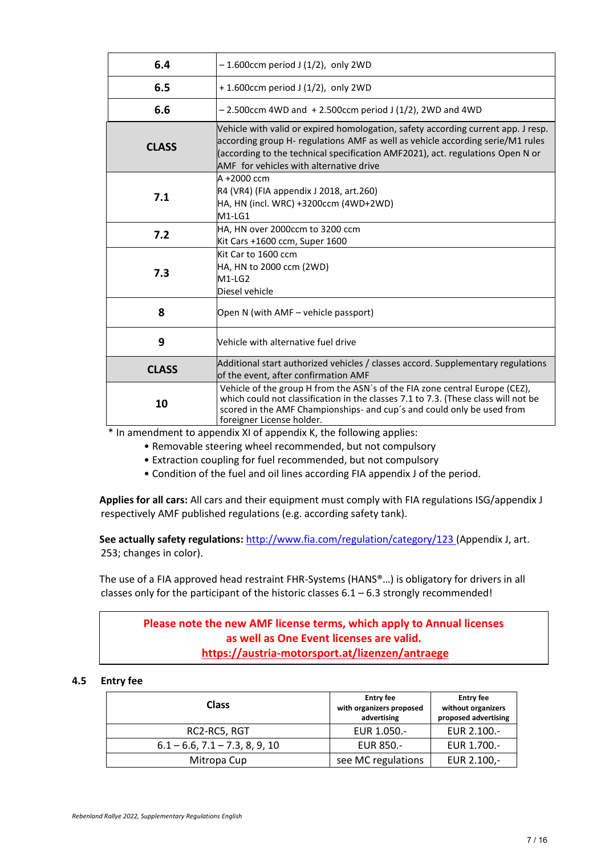| 6.4          | $-1.600$ ccm period J (1/2), only 2WD                                                                                                                                                                                                                                                            |
|--------------|--------------------------------------------------------------------------------------------------------------------------------------------------------------------------------------------------------------------------------------------------------------------------------------------------|
| 6.5          | $+ 1.600$ ccm period J (1/2), only 2WD                                                                                                                                                                                                                                                           |
| 6.6          | $-$ 2.500ccm 4WD and $+$ 2.500ccm period J (1/2), 2WD and 4WD                                                                                                                                                                                                                                    |
| <b>CLASS</b> | Vehicle with valid or expired homologation, safety according current app. J resp.<br>according group H- regulations AMF as well as vehicle according serie/M1 rules<br>(according to the technical specification AMF2021), act. regulations Open N or<br>AMF for vehicles with alternative drive |
| 7.1          | $A + 2000$ ccm<br>R4 (VR4) (FIA appendix J 2018, art.260)<br>HA, HN (incl. WRC) +3200ccm (4WD+2WD)<br>$M1-LG1$                                                                                                                                                                                   |
| 7.2          | HA, HN over 2000ccm to 3200 ccm<br>Kit Cars +1600 ccm, Super 1600                                                                                                                                                                                                                                |
| 7.3          | Kit Car to 1600 ccm<br>HA, HN to 2000 ccm (2WD)<br>$M1-LG2$<br>Diesel vehicle                                                                                                                                                                                                                    |
| 8            | Open N (with AMF - vehicle passport)                                                                                                                                                                                                                                                             |
| 9            | Vehicle with alternative fuel drive                                                                                                                                                                                                                                                              |
| <b>CLASS</b> | Additional start authorized vehicles / classes accord. Supplementary regulations<br>of the event, after confirmation AMF                                                                                                                                                                         |
| 10           | Vehicle of the group H from the ASN's of the FIA zone central Europe (CEZ),<br>which could not classification in the classes 7.1 to 7.3. (These class will not be<br>scored in the AMF Championships- and cup's and could only be used from<br>foreigner License holder.                         |

\* In amendment to appendix XI of appendix K, the following applies:

- Removable steering wheel recommended, but not compulsory
- Extraction coupling for fuel recommended, but not compulsory
- Condition of the fuel and oil lines according FIA appendix J of the period.

**Applies for all cars:** All cars and their equipment must comply with FIA regulations ISG/appendix J respectively AMF published regulations (e.g. according safety tank).

**See actually safety regulations:** <http://www.fia.com/regulation/category/123> (Appendix J, art. 253; changes in color).

The use of a FIA approved head restraint FHR-Systems (HANS®…) is obligatory for drivers in all classes only for the participant of the historic classes  $6.1 - 6.3$  strongly recommended!

### **Please note the new AMF license terms, which apply to Annual licenses as well as One Event licenses are valid. <https://austria-motorsport.at/lizenzen/antraege>**

#### **4.5 Entry fee**

| <b>Class</b>                         | <b>Entry fee</b><br>with organizers proposed<br>advertising | <b>Entry fee</b><br>without organizers<br>proposed advertising |
|--------------------------------------|-------------------------------------------------------------|----------------------------------------------------------------|
| RC2-RC5, RGT                         | EUR 1.050.-                                                 | EUR 2.100 .-                                                   |
| $6.1 - 6.6$ , $7.1 - 7.3$ , 8, 9, 10 | EUR 850.-                                                   | EUR 1.700 .-                                                   |
| Mitropa Cup                          | see MC regulations                                          | EUR 2.100,-                                                    |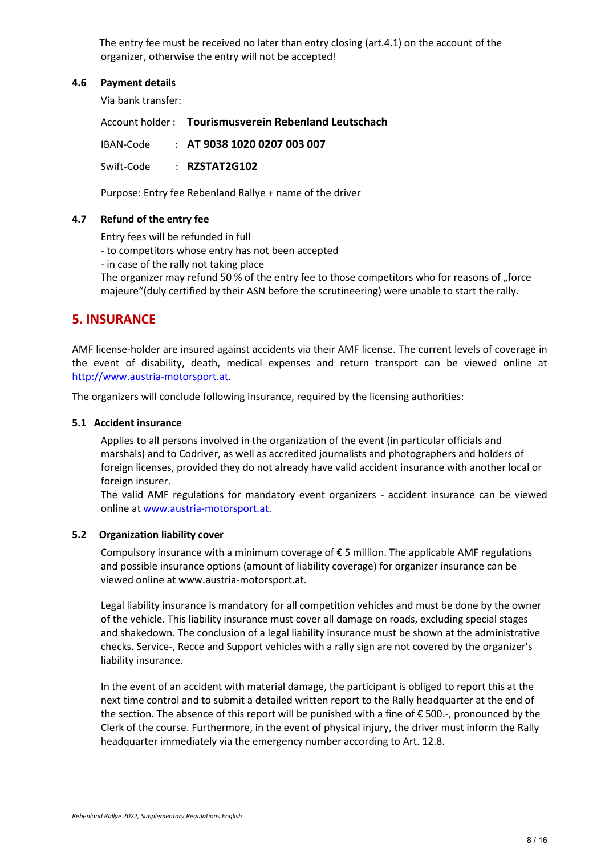The entry fee must be received no later than entry closing (art.4.1) on the account of the organizer, otherwise the entry will not be accepted!

#### **4.6 Payment details**

Via bank transfer:

Account holder : **Tourismusverein Rebenland Leutschach** IBAN-Code : **AT 9038 1020 0207 003 007** Swift-Code : **RZSTAT2G102**

Purpose: Entry fee Rebenland Rallye + name of the driver

#### **4.7 Refund of the entry fee**

Entry fees will be refunded in full

- to competitors whose entry has not been accepted
- in case of the rally not taking place

The organizer may refund 50 % of the entry fee to those competitors who for reasons of "force majeure"(duly certified by their ASN before the scrutineering) were unable to start the rally.

# **5. INSURANCE**

AMF license-holder are insured against accidents via their AMF license. The current levels of coverage in the event of disability, death, medical expenses and return transport can be viewed online at [http://www.austria-motorsport.at.](http://www.austria-motorsport.at/)

The organizers will conclude following insurance, required by the licensing authorities:

#### **5.1 Accident insurance**

Applies to all persons involved in the organization of the event (in particular officials and marshals) and to Codriver, as well as accredited journalists and photographers and holders of foreign licenses, provided they do not already have valid accident insurance with another local or foreign insurer.

The valid AMF regulations for mandatory event organizers - accident insurance can be viewed online at [www.austria-motorsport.at.](http://www.austria-motorsport.at/)

#### **5.2 Organization liability cover**

Compulsory insurance with a minimum coverage of  $\epsilon$  5 million. The applicable AMF regulations and possible insurance options (amount of liability coverage) for organizer insurance can be viewed online at www.austria-motorsport.at.

Legal liability insurance is mandatory for all competition vehicles and must be done by the owner of the vehicle. This liability insurance must cover all damage on roads, excluding special stages and shakedown. The conclusion of a legal liability insurance must be shown at the administrative checks. Service-, Recce and Support vehicles with a rally sign are not covered by the organizer's liability insurance.

In the event of an accident with material damage, the participant is obliged to report this at the next time control and to submit a detailed written report to the Rally headquarter at the end of the section. The absence of this report will be punished with a fine of € 500.-, pronounced by the Clerk of the course. Furthermore, in the event of physical injury, the driver must inform the Rally headquarter immediately via the emergency number according to Art. 12.8.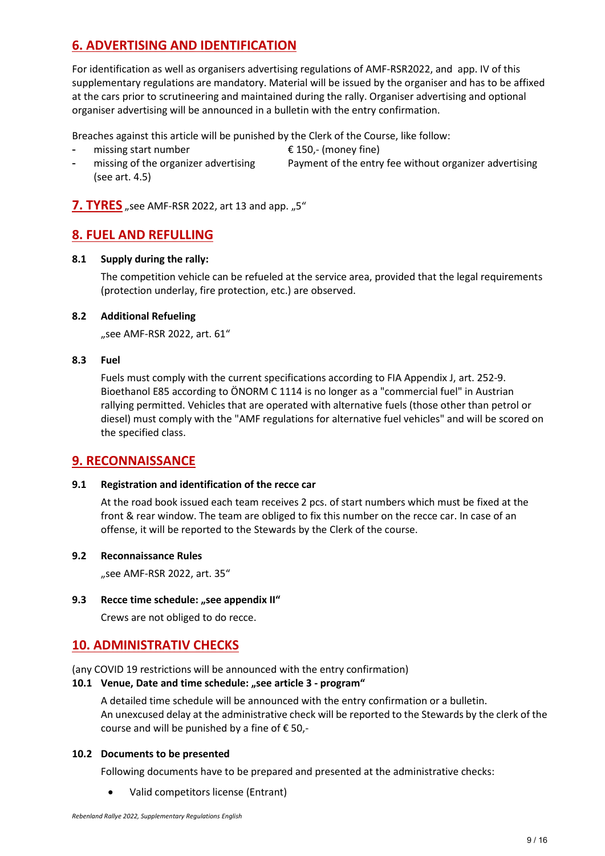# **6. ADVERTISING AND IDENTIFICATION**

For identification as well as organisers advertising regulations of AMF-RSR2022, and app. IV of this supplementary regulations are mandatory. Material will be issued by the organiser and has to be affixed at the cars prior to scrutineering and maintained during the rally. Organiser advertising and optional organiser advertising will be announced in a bulletin with the entry confirmation.

Breaches against this article will be punished by the Clerk of the Course, like follow:

- missing start number  $\epsilon$  150,- (money fine)
- 
- missing of the organizer advertising Payment of the entry fee without organizer advertising (see art. 4.5)

**7. TYRES** "see AMF-RSR 2022, art 13 and app. "5"

# **8. FUEL AND REFULLING**

#### **8.1 Supply during the rally:**

The competition vehicle can be refueled at the service area, provided that the legal requirements (protection underlay, fire protection, etc.) are observed.

#### **8.2 Additional Refueling**

"see AMF-RSR 2022, art. 61"

#### **8.3 Fuel**

Fuels must comply with the current specifications according to FIA Appendix J, art. 252-9. Bioethanol E85 according to ÖNORM C 1114 is no longer as a "commercial fuel" in Austrian rallying permitted. Vehicles that are operated with alternative fuels (those other than petrol or diesel) must comply with the "AMF regulations for alternative fuel vehicles" and will be scored on the specified class.

### **9. RECONNAISSANCE**

#### **9.1 Registration and identification of the recce car**

At the road book issued each team receives 2 pcs. of start numbers which must be fixed at the front & rear window. The team are obliged to fix this number on the recce car. In case of an offense, it will be reported to the Stewards by the Clerk of the course.

#### **9.2 Reconnaissance Rules**

"see AMF-RSR 2022, art. 35"

#### **9.3** Recce time schedule: "see appendix II"

Crews are not obliged to do recce.

# **10. ADMINISTRATIV CHECKS**

(any COVID 19 restrictions will be announced with the entry confirmation)

#### **10.1 Venue, Date and time schedule: "see article 3 - program"**

A detailed time schedule will be announced with the entry confirmation or a bulletin. An unexcused delay at the administrative check will be reported to the Stewards by the clerk of the course and will be punished by a fine of  $\epsilon$  50,-

#### **10.2 Documents to be presented**

Following documents have to be prepared and presented at the administrative checks:

• Valid competitors license (Entrant)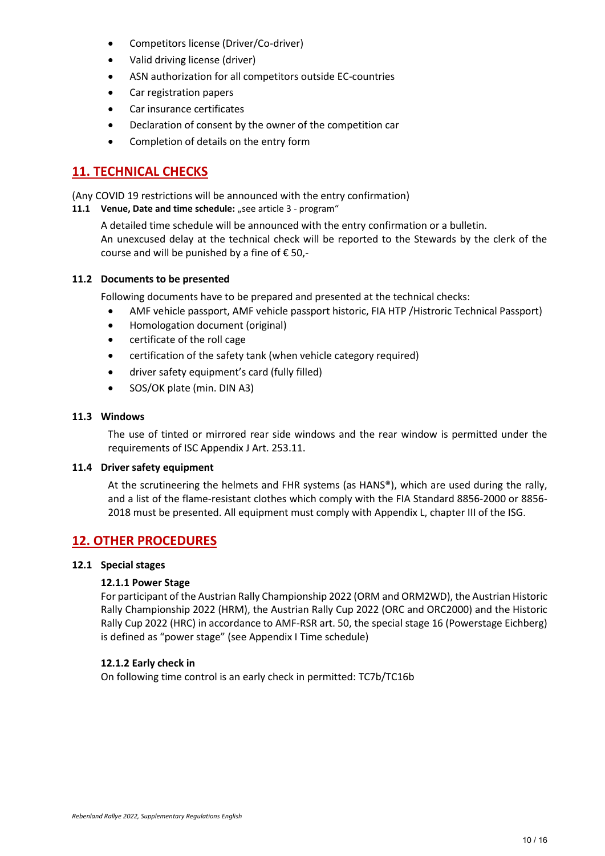- Competitors license (Driver/Co-driver)
- Valid driving license (driver)
- ASN authorization for all competitors outside EC-countries
- Car registration papers
- Car insurance certificates
- Declaration of consent by the owner of the competition car
- Completion of details on the entry form

# **11. TECHNICAL CHECKS**

(Any COVID 19 restrictions will be announced with the entry confirmation)

**11.1 Venue, Date and time schedule:** "see article 3 - program"

A detailed time schedule will be announced with the entry confirmation or a bulletin. An unexcused delay at the technical check will be reported to the Stewards by the clerk of the course and will be punished by a fine of  $\epsilon$  50,-

#### **11.2 Documents to be presented**

Following documents have to be prepared and presented at the technical checks:

- AMF vehicle passport, AMF vehicle passport historic, FIA HTP /Histroric Technical Passport)
- Homologation document (original)
- certificate of the roll cage
- certification of the safety tank (when vehicle category required)
- driver safety equipment's card (fully filled)
- SOS/OK plate (min. DIN A3)

#### **11.3 Windows**

The use of tinted or mirrored rear side windows and the rear window is permitted under the requirements of ISC Appendix J Art. 253.11.

#### **11.4 Driver safety equipment**

At the scrutineering the helmets and FHR systems (as HANS®), which are used during the rally, and a list of the flame-resistant clothes which comply with the FIA Standard 8856-2000 or 8856- 2018 must be presented. All equipment must comply with Appendix L, chapter III of the ISG.

# **12. OTHER PROCEDURES**

#### **12.1 Special stages**

#### **12.1.1 Power Stage**

For participant of the Austrian Rally Championship 2022 (ORM and ORM2WD), the Austrian Historic Rally Championship 2022 (HRM), the Austrian Rally Cup 2022 (ORC and ORC2000) and the Historic Rally Cup 2022 (HRC) in accordance to AMF-RSR art. 50, the special stage 16 (Powerstage Eichberg) is defined as "power stage" (see Appendix I Time schedule)

#### **12.1.2 Early check in**

On following time control is an early check in permitted: TC7b/TC16b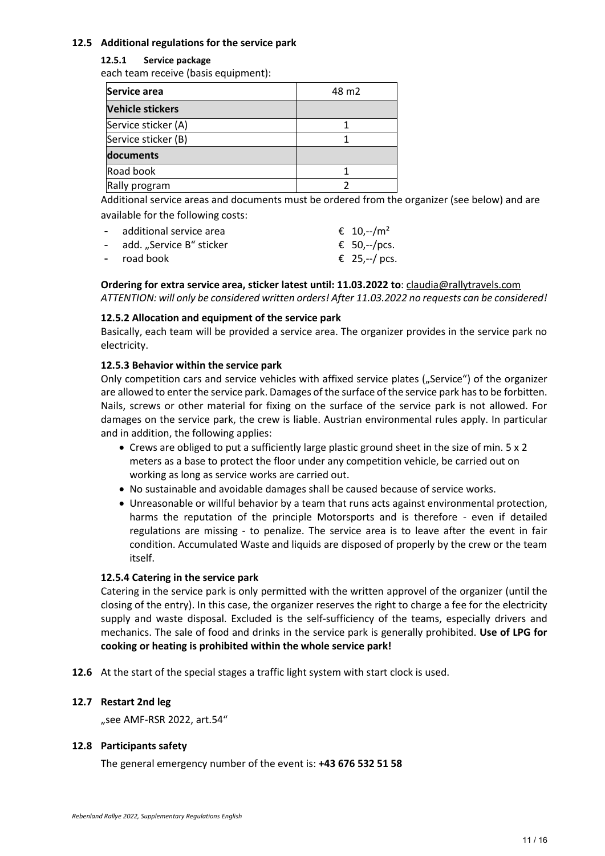#### **12.5 Additional regulations for the service park**

#### **12.5.1 Service package**

each team receive (basis equipment):

| Service area            | 48 m <sub>2</sub> |
|-------------------------|-------------------|
| <b>Vehicle stickers</b> |                   |
| Service sticker (A)     |                   |
| Service sticker (B)     |                   |
| documents               |                   |
| Road book               |                   |
| Rally program           |                   |

Additional service areas and documents must be ordered from the organizer (see below) and are available for the following costs:

| - additional service area  | € 10,--/m <sup>2</sup> |
|----------------------------|------------------------|
| - add. "Service B" sticker | € 50,--/pcs.           |
| - road book                | € 25, --/ pcs.         |

**Ordering for extra service area, sticker latest until: 11.03.2022 to**: [claudia@rallytravels.com](mailto:claudia@rallytravels.com) *ATTENTION: will only be considered written orders! After 11.03.2022 no requests can be considered!*

#### **12.5.2 Allocation and equipment of the service park**

Basically, each team will be provided a service area. The organizer provides in the service park no electricity.

#### **12.5.3 Behavior within the service park**

Only competition cars and service vehicles with affixed service plates ("Service") of the organizer are allowed to enter the service park. Damages of the surface of the service park has to be forbitten. Nails, screws or other material for fixing on the surface of the service park is not allowed. For damages on the service park, the crew is liable. Austrian environmental rules apply. In particular and in addition, the following applies:

- Crews are obliged to put a sufficiently large plastic ground sheet in the size of min. 5 x 2 meters as a base to protect the floor under any competition vehicle, be carried out on working as long as service works are carried out.
- No sustainable and avoidable damages shall be caused because of service works.
- Unreasonable or willful behavior by a team that runs acts against environmental protection, harms the reputation of the principle Motorsports and is therefore - even if detailed regulations are missing - to penalize. The service area is to leave after the event in fair condition. Accumulated Waste and liquids are disposed of properly by the crew or the team itself.

#### **12.5.4 Catering in the service park**

Catering in the service park is only permitted with the written approvel of the organizer (until the closing of the entry). In this case, the organizer reserves the right to charge a fee for the electricity supply and waste disposal. Excluded is the self-sufficiency of the teams, especially drivers and mechanics. The sale of food and drinks in the service park is generally prohibited. **Use of LPG for cooking or heating is prohibited within the whole service park!**

**12.6** At the start of the special stages a traffic light system with start clock is used.

#### **12.7 Restart 2nd leg**

"see AMF-RSR 2022, art.54"

#### **12.8 Participants safety**

The general emergency number of the event is: **+43 676 532 51 58**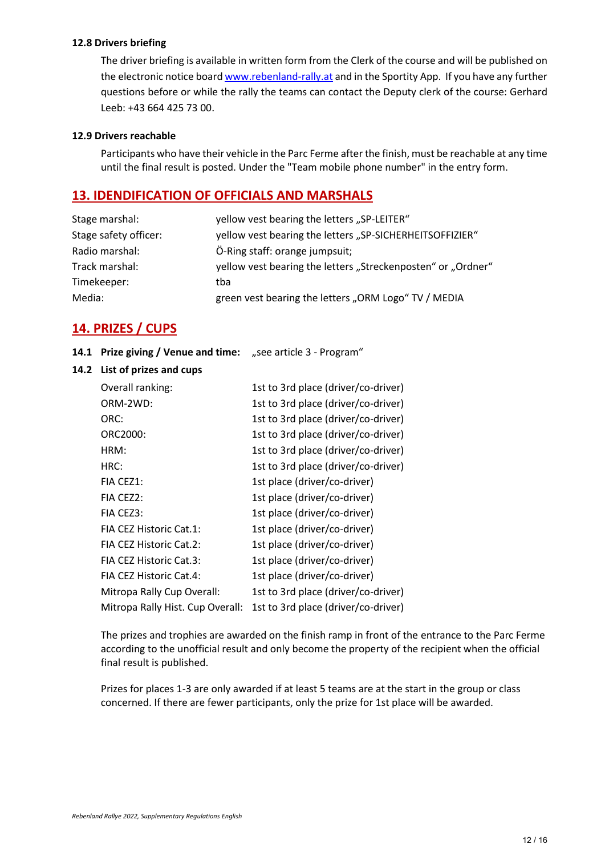#### **12.8 Drivers briefing**

The driver briefing is available in written form from the Clerk of the course and will be published on the electronic notice board [www.rebenland-rally.at](http://www.rebenland-rally.at/) and in the Sportity App. If you have any further questions before or while the rally the teams can contact the Deputy clerk of the course: Gerhard Leeb: +43 664 425 73 00.

#### **12.9 Drivers reachable**

Participants who have their vehicle in the Parc Ferme after the finish, must be reachable at any time until the final result is posted. Under the "Team mobile phone number" in the entry form.

#### **13. IDENDIFICATION OF OFFICIALS AND MARSHALS**

| yellow vest bearing the letters "SP-LEITER"                  |
|--------------------------------------------------------------|
| yellow vest bearing the letters "SP-SICHERHEITSOFFIZIER"     |
| Ö-Ring staff: orange jumpsuit;                               |
| yellow vest bearing the letters "Streckenposten" or "Ordner" |
| tba                                                          |
| green vest bearing the letters "ORM Logo" TV / MEDIA         |
|                                                              |

# **14. PRIZES / CUPS**

- **14.1 Prize giving / Venue and time:** "see article 3 Program"
- **14.2 List of prizes and cups**

| Overall ranking:                 | 1st to 3rd place (driver/co-driver) |
|----------------------------------|-------------------------------------|
| ORM-2WD:                         | 1st to 3rd place (driver/co-driver) |
| ORC:                             | 1st to 3rd place (driver/co-driver) |
| ORC2000:                         | 1st to 3rd place (driver/co-driver) |
| HRM:                             | 1st to 3rd place (driver/co-driver) |
| HRC:                             | 1st to 3rd place (driver/co-driver) |
| FIA CEZ1:                        | 1st place (driver/co-driver)        |
| FIA CEZ2:                        | 1st place (driver/co-driver)        |
| FIA CEZ3:                        | 1st place (driver/co-driver)        |
| FIA CEZ Historic Cat.1:          | 1st place (driver/co-driver)        |
| FIA CEZ Historic Cat.2:          | 1st place (driver/co-driver)        |
| FIA CEZ Historic Cat.3:          | 1st place (driver/co-driver)        |
| FIA CEZ Historic Cat.4:          | 1st place (driver/co-driver)        |
| Mitropa Rally Cup Overall:       | 1st to 3rd place (driver/co-driver) |
| Mitropa Rally Hist. Cup Overall: | 1st to 3rd place (driver/co-driver) |

The prizes and trophies are awarded on the finish ramp in front of the entrance to the Parc Ferme according to the unofficial result and only become the property of the recipient when the official final result is published.

Prizes for places 1-3 are only awarded if at least 5 teams are at the start in the group or class concerned. If there are fewer participants, only the prize for 1st place will be awarded.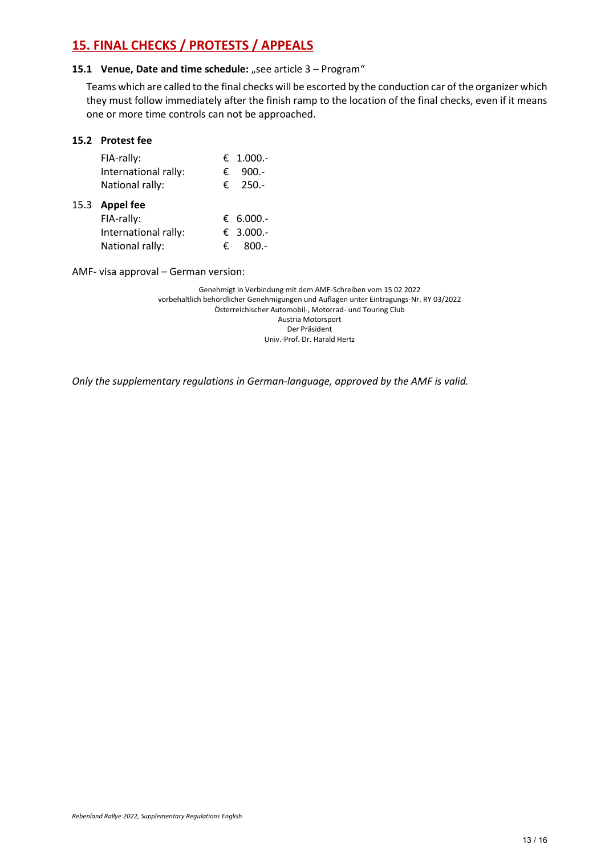# **15. FINAL CHECKS / PROTESTS / APPEALS**

#### **15.1 Venue, Date and time schedule:** "see article 3 – Program"

Teams which are called to the final checks will be escorted by the conduction car of the organizer which they must follow immediately after the finish ramp to the location of the final checks, even if it means one or more time controls can not be approached.

#### **15.2 Protest fee**

| FIA-rally:           |   | € 1.000.- |
|----------------------|---|-----------|
| International rally: | € | $900 -$   |
| National rally:      | € | $250 -$   |
| 15.3 Appel fee       |   |           |
| FIA-rally:           |   | € 6.000.- |
| International rally: |   | € 3.000.- |
| National rally:      | € | $800 -$   |
|                      |   |           |

AMF- visa approval – German version:

Genehmigt in Verbindung mit dem AMF-Schreiben vom 15 02 2022 vorbehaltlich behördlicher Genehmigungen und Auflagen unter Eintragungs-Nr. RY 03/2022 Österreichischer Automobil-, Motorrad- und Touring Club Austria Motorsport Der Präsident Univ.-Prof. Dr. Harald Hertz

*Only the supplementary regulations in German-language, approved by the AMF is valid.*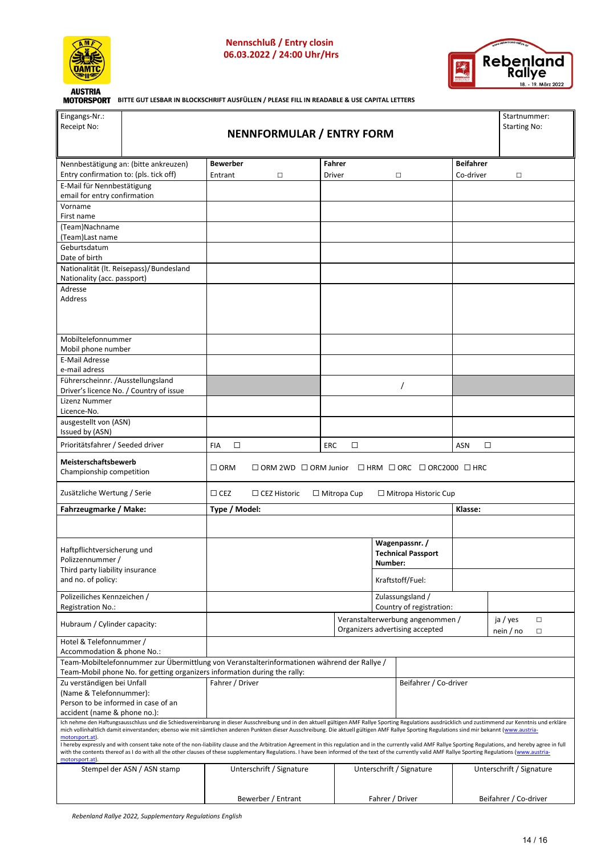

 **Nennschluß / Entry closin 06.03.2022 / 24:00 Uhr/Hrs**



**BITTE GUT LESBAR IN BLOCKSCHRIFT AUSFÜLLEN / PLEASE FILL IN READABLE & USE CAPITAL LETTERS** 

| Eingangs-Nr.:<br>Receipt No:                                                         | <b>NENNFORMULAR / ENTRY FORM</b>                                                                                                                                                                                                                                                                                                                                                                                                                                                                                                                                                                                                                                                                                                                                                                                                   |                      |                                  |                      |         | Startnummer:<br>Starting No:                                 |                      |                          |
|--------------------------------------------------------------------------------------|------------------------------------------------------------------------------------------------------------------------------------------------------------------------------------------------------------------------------------------------------------------------------------------------------------------------------------------------------------------------------------------------------------------------------------------------------------------------------------------------------------------------------------------------------------------------------------------------------------------------------------------------------------------------------------------------------------------------------------------------------------------------------------------------------------------------------------|----------------------|----------------------------------|----------------------|---------|--------------------------------------------------------------|----------------------|--------------------------|
|                                                                                      |                                                                                                                                                                                                                                                                                                                                                                                                                                                                                                                                                                                                                                                                                                                                                                                                                                    | <b>Bewerber</b>      |                                  | Fahrer               |         |                                                              | <b>Beifahrer</b>     |                          |
| Entry confirmation to: (pls. tick off)                                               | Nennbestätigung an: (bitte ankreuzen)                                                                                                                                                                                                                                                                                                                                                                                                                                                                                                                                                                                                                                                                                                                                                                                              | Entrant              | □                                | Driver               |         | $\Box$                                                       | Co-driver            | $\Box$                   |
| E-Mail für Nennbestätigung                                                           |                                                                                                                                                                                                                                                                                                                                                                                                                                                                                                                                                                                                                                                                                                                                                                                                                                    |                      |                                  |                      |         |                                                              |                      |                          |
| email for entry confirmation                                                         |                                                                                                                                                                                                                                                                                                                                                                                                                                                                                                                                                                                                                                                                                                                                                                                                                                    |                      |                                  |                      |         |                                                              |                      |                          |
| Vorname<br>First name                                                                |                                                                                                                                                                                                                                                                                                                                                                                                                                                                                                                                                                                                                                                                                                                                                                                                                                    |                      |                                  |                      |         |                                                              |                      |                          |
| (Team)Nachname                                                                       |                                                                                                                                                                                                                                                                                                                                                                                                                                                                                                                                                                                                                                                                                                                                                                                                                                    |                      |                                  |                      |         |                                                              |                      |                          |
| (Team)Last name<br>Geburtsdatum                                                      |                                                                                                                                                                                                                                                                                                                                                                                                                                                                                                                                                                                                                                                                                                                                                                                                                                    |                      |                                  |                      |         |                                                              |                      |                          |
| Date of birth                                                                        |                                                                                                                                                                                                                                                                                                                                                                                                                                                                                                                                                                                                                                                                                                                                                                                                                                    |                      |                                  |                      |         |                                                              |                      |                          |
| Nationality (acc. passport)                                                          | Nationalität (It. Reisepass)/Bundesland                                                                                                                                                                                                                                                                                                                                                                                                                                                                                                                                                                                                                                                                                                                                                                                            |                      |                                  |                      |         |                                                              |                      |                          |
| Adresse<br><b>Address</b>                                                            |                                                                                                                                                                                                                                                                                                                                                                                                                                                                                                                                                                                                                                                                                                                                                                                                                                    |                      |                                  |                      |         |                                                              |                      |                          |
|                                                                                      |                                                                                                                                                                                                                                                                                                                                                                                                                                                                                                                                                                                                                                                                                                                                                                                                                                    |                      |                                  |                      |         |                                                              |                      |                          |
| Mobiltelefonnummer<br>Mobil phone number                                             |                                                                                                                                                                                                                                                                                                                                                                                                                                                                                                                                                                                                                                                                                                                                                                                                                                    |                      |                                  |                      |         |                                                              |                      |                          |
| <b>E-Mail Adresse</b><br>e-mail adress                                               |                                                                                                                                                                                                                                                                                                                                                                                                                                                                                                                                                                                                                                                                                                                                                                                                                                    |                      |                                  |                      |         |                                                              |                      |                          |
| Führerscheinnr. /Ausstellungsland                                                    | Driver's licence No. / Country of issue                                                                                                                                                                                                                                                                                                                                                                                                                                                                                                                                                                                                                                                                                                                                                                                            |                      |                                  |                      |         |                                                              |                      |                          |
| Lizenz Nummer<br>Licence-No.                                                         |                                                                                                                                                                                                                                                                                                                                                                                                                                                                                                                                                                                                                                                                                                                                                                                                                                    |                      |                                  |                      |         |                                                              |                      |                          |
| ausgestellt von (ASN)                                                                |                                                                                                                                                                                                                                                                                                                                                                                                                                                                                                                                                                                                                                                                                                                                                                                                                                    |                      |                                  |                      |         |                                                              |                      |                          |
| Issued by (ASN)                                                                      |                                                                                                                                                                                                                                                                                                                                                                                                                                                                                                                                                                                                                                                                                                                                                                                                                                    | <b>FIA</b><br>$\Box$ |                                  | <b>ERC</b><br>$\Box$ |         |                                                              | $\Box$<br><b>ASN</b> |                          |
| Prioritätsfahrer / Seeded driver<br>Meisterschaftsbewerb<br>Championship competition |                                                                                                                                                                                                                                                                                                                                                                                                                                                                                                                                                                                                                                                                                                                                                                                                                                    | $\Box$ ORM           | $\Box$ ORM 2WD $\Box$ ORM Junior |                      |         | $\Box$ HRM $\Box$ ORC $\Box$ ORC2000 $\Box$ HRC              |                      |                          |
| Zusätzliche Wertung / Serie                                                          |                                                                                                                                                                                                                                                                                                                                                                                                                                                                                                                                                                                                                                                                                                                                                                                                                                    | $\Box$ CEZ           | $\Box$ CEZ Historic              | $\Box$ Mitropa Cup   |         | $\Box$ Mitropa Historic Cup                                  |                      |                          |
| Fahrzeugmarke / Make:                                                                |                                                                                                                                                                                                                                                                                                                                                                                                                                                                                                                                                                                                                                                                                                                                                                                                                                    |                      |                                  |                      |         |                                                              |                      |                          |
|                                                                                      |                                                                                                                                                                                                                                                                                                                                                                                                                                                                                                                                                                                                                                                                                                                                                                                                                                    | Type / Model:        |                                  |                      |         |                                                              | Klasse:              |                          |
|                                                                                      |                                                                                                                                                                                                                                                                                                                                                                                                                                                                                                                                                                                                                                                                                                                                                                                                                                    |                      |                                  |                      |         |                                                              |                      |                          |
| Haftpflichtversicherung und                                                          |                                                                                                                                                                                                                                                                                                                                                                                                                                                                                                                                                                                                                                                                                                                                                                                                                                    |                      |                                  |                      |         | Wagenpassnr. /<br><b>Technical Passport</b>                  |                      |                          |
| Polizzennummer /                                                                     |                                                                                                                                                                                                                                                                                                                                                                                                                                                                                                                                                                                                                                                                                                                                                                                                                                    |                      |                                  |                      | Number: |                                                              |                      |                          |
| Third party liability insurance<br>and no. of policy:                                |                                                                                                                                                                                                                                                                                                                                                                                                                                                                                                                                                                                                                                                                                                                                                                                                                                    |                      |                                  |                      |         | Kraftstoff/Fuel:                                             |                      |                          |
| Polizeiliches Kennzeichen /                                                          |                                                                                                                                                                                                                                                                                                                                                                                                                                                                                                                                                                                                                                                                                                                                                                                                                                    |                      |                                  |                      |         | Zulassungsland /                                             |                      |                          |
| Registration No.:<br>Hubraum / Cylinder capacity:                                    |                                                                                                                                                                                                                                                                                                                                                                                                                                                                                                                                                                                                                                                                                                                                                                                                                                    |                      |                                  |                      |         | Country of registration:<br>Veranstalterwerbung angenommen / |                      | ja / yes<br>$\Box$       |
| Hotel & Telefonnummer /                                                              |                                                                                                                                                                                                                                                                                                                                                                                                                                                                                                                                                                                                                                                                                                                                                                                                                                    |                      |                                  |                      |         | Organizers advertising accepted                              |                      | nein / no<br>□           |
| Accommodation & phone No.:                                                           |                                                                                                                                                                                                                                                                                                                                                                                                                                                                                                                                                                                                                                                                                                                                                                                                                                    |                      |                                  |                      |         |                                                              |                      |                          |
|                                                                                      | Team-Mobiltelefonnummer zur Übermittlung von Veranstalterinformationen während der Rallye /<br>Team-Mobil phone No. for getting organizers information during the rally:                                                                                                                                                                                                                                                                                                                                                                                                                                                                                                                                                                                                                                                           |                      |                                  |                      |         |                                                              |                      |                          |
| Zu verständigen bei Unfall                                                           |                                                                                                                                                                                                                                                                                                                                                                                                                                                                                                                                                                                                                                                                                                                                                                                                                                    | Fahrer / Driver      |                                  |                      |         | Beifahrer / Co-driver                                        |                      |                          |
| (Name & Telefonnummer):<br>Person to be informed in case of an                       |                                                                                                                                                                                                                                                                                                                                                                                                                                                                                                                                                                                                                                                                                                                                                                                                                                    |                      |                                  |                      |         |                                                              |                      |                          |
| accident (name & phone no.):                                                         |                                                                                                                                                                                                                                                                                                                                                                                                                                                                                                                                                                                                                                                                                                                                                                                                                                    |                      |                                  |                      |         |                                                              |                      |                          |
| motorsport.at).                                                                      | Ich nehme den Haftungsausschluss und die Schiedsvereinbarung in dieser Ausschreibung und in den aktuell gültigen AMF Rallye Sporting Regulations ausdrücklich und zustimmend zur Kenntnis und erkläre<br>mich vollinhaltlich damit einverstanden; ebenso wie mit sämtlichen anderen Punkten dieser Ausschreibung. Die aktuell gültigen AMF Rallye Sporting Regulations sind mir bekannt (www.austria-<br>I hereby expressly and with consent take note of the non-liability clause and the Arbitration Agreement in this regulation and in the currently valid AMF Rallye Sporting Regulations, and hereby agree in full<br>with the contents thereof as I do with all the other clauses of these supplementary Regulations. I have been informed of the text of the currently valid AMF Rallye Sporting Regulations (www.austria- |                      |                                  |                      |         |                                                              |                      |                          |
| motorsport.at)                                                                       | Stempel der ASN / ASN stamp                                                                                                                                                                                                                                                                                                                                                                                                                                                                                                                                                                                                                                                                                                                                                                                                        |                      | Unterschrift / Signature         |                      |         | Unterschrift / Signature                                     |                      | Unterschrift / Signature |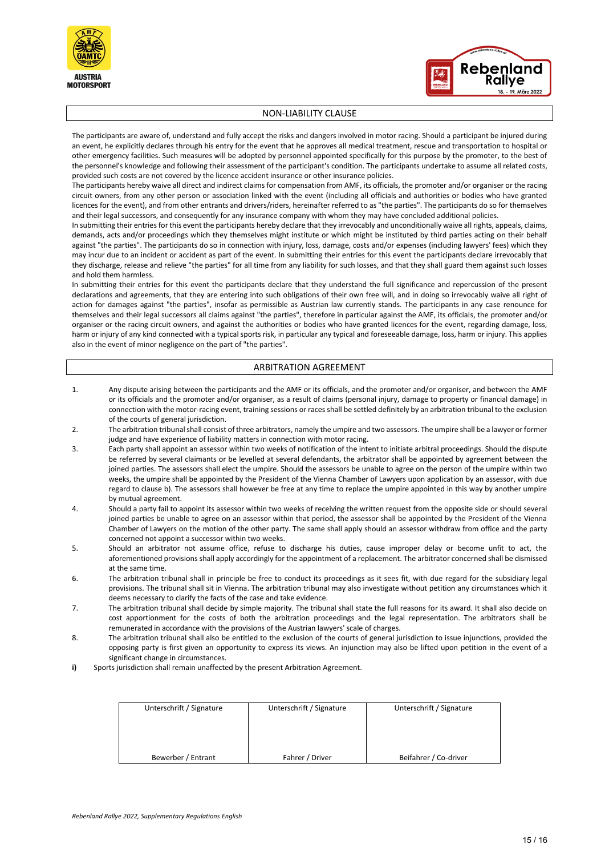



#### NON-LIABILITY CLAUSE

The participants are aware of, understand and fully accept the risks and dangers involved in motor racing. Should a participant be injured during an event, he explicitly declares through his entry for the event that he approves all medical treatment, rescue and transportation to hospital or other emergency facilities. Such measures will be adopted by personnel appointed specifically for this purpose by the promoter, to the best of the personnel's knowledge and following their assessment of the participant's condition. The participants undertake to assume all related costs, provided such costs are not covered by the licence accident insurance or other insurance policies.

The participants hereby waive all direct and indirect claims for compensation from AMF, its officials, the promoter and/or organiser or the racing circuit owners, from any other person or association linked with the event (including all officials and authorities or bodies who have granted licences for the event), and from other entrants and drivers/riders, hereinafter referred to as "the parties". The participants do so for themselves and their legal successors, and consequently for any insurance company with whom they may have concluded additional policies.

In submitting their entries for this event the participants hereby declare that they irrevocably and unconditionally waive all rights, appeals, claims, demands, acts and/or proceedings which they themselves might institute or which might be instituted by third parties acting on their behalf against "the parties". The participants do so in connection with injury, loss, damage, costs and/or expenses (including lawyers' fees) which they may incur due to an incident or accident as part of the event. In submitting their entries for this event the participants declare irrevocably that they discharge, release and relieve "the parties" for all time from any liability for such losses, and that they shall guard them against such losses and hold them harmless.

In submitting their entries for this event the participants declare that they understand the full significance and repercussion of the present declarations and agreements, that they are entering into such obligations of their own free will, and in doing so irrevocably waive all right of action for damages against "the parties", insofar as permissible as Austrian law currently stands. The participants in any case renounce for themselves and their legal successors all claims against "the parties", therefore in particular against the AMF, its officials, the promoter and/or organiser or the racing circuit owners, and against the authorities or bodies who have granted licences for the event, regarding damage, loss, harm or injury of any kind connected with a typical sports risk, in particular any typical and foreseeable damage, loss, harm or injury. This applies also in the event of minor negligence on the part of "the parties".

#### ARBITRATION AGREEMENT

- 1. Any dispute arising between the participants and the AMF or its officials, and the promoter and/or organiser, and between the AMF or its officials and the promoter and/or organiser, as a result of claims (personal injury, damage to property or financial damage) in connection with the motor-racing event, training sessions or races shall be settled definitely by an arbitration tribunal to the exclusion of the courts of general jurisdiction.
- 2. The arbitration tribunal shall consist of three arbitrators, namely the umpire and two assessors. The umpire shall be a lawyer or former judge and have experience of liability matters in connection with motor racing.
- 3. Each party shall appoint an assessor within two weeks of notification of the intent to initiate arbitral proceedings. Should the dispute be referred by several claimants or be levelled at several defendants, the arbitrator shall be appointed by agreement between the joined parties. The assessors shall elect the umpire. Should the assessors be unable to agree on the person of the umpire within two weeks, the umpire shall be appointed by the President of the Vienna Chamber of Lawyers upon application by an assessor, with due regard to clause b). The assessors shall however be free at any time to replace the umpire appointed in this way by another umpire by mutual agreement.
- 4. Should a party fail to appoint its assessor within two weeks of receiving the written request from the opposite side or should several joined parties be unable to agree on an assessor within that period, the assessor shall be appointed by the President of the Vienna Chamber of Lawyers on the motion of the other party. The same shall apply should an assessor withdraw from office and the party concerned not appoint a successor within two weeks.
- 5. Should an arbitrator not assume office, refuse to discharge his duties, cause improper delay or become unfit to act, the aforementioned provisions shall apply accordingly for the appointment of a replacement. The arbitrator concerned shall be dismissed at the same time.
- 6. The arbitration tribunal shall in principle be free to conduct its proceedings as it sees fit, with due regard for the subsidiary legal provisions. The tribunal shall sit in Vienna. The arbitration tribunal may also investigate without petition any circumstances which it deems necessary to clarify the facts of the case and take evidence.
- 7. The arbitration tribunal shall decide by simple majority. The tribunal shall state the full reasons for its award. It shall also decide on cost apportionment for the costs of both the arbitration proceedings and the legal representation. The arbitrators shall be remunerated in accordance with the provisions of the Austrian lawyers' scale of charges.
- 8. The arbitration tribunal shall also be entitled to the exclusion of the courts of general jurisdiction to issue injunctions, provided the opposing party is first given an opportunity to express its views. An injunction may also be lifted upon petition in the event of a significant change in circumstances.
- **i)** Sports jurisdiction shall remain unaffected by the present Arbitration Agreement.

| Unterschrift / Signature<br>Unterschrift / Signature<br>Unterschrift / Signature |  |
|----------------------------------------------------------------------------------|--|
|                                                                                  |  |
|                                                                                  |  |
|                                                                                  |  |
|                                                                                  |  |
|                                                                                  |  |
|                                                                                  |  |
|                                                                                  |  |
|                                                                                  |  |
| Beifahrer / Co-driver<br>Bewerber / Entrant<br>Fahrer / Driver                   |  |
|                                                                                  |  |